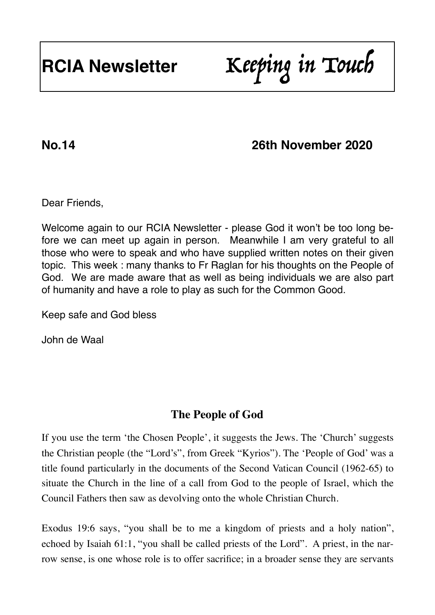# **RCIA Newsletter** Keeping in Touch

# **No.14 26th November 2020**

Dear Friends,

Welcome again to our RCIA Newsletter - please God it won't be too long before we can meet up again in person. Meanwhile I am very grateful to all those who were to speak and who have supplied written notes on their given topic. This week : many thanks to Fr Raglan for his thoughts on the People of God. We are made aware that as well as being individuals we are also part of humanity and have a role to play as such for the Common Good.

Keep safe and God bless

John de Waal

### **The People of God**

If you use the term 'the Chosen People', it suggests the Jews. The 'Church' suggests the Christian people (the "Lord's", from Greek "Kyrios"). The 'People of God' was a title found particularly in the documents of the Second Vatican Council (1962-65) to situate the Church in the line of a call from God to the people of Israel, which the Council Fathers then saw as devolving onto the whole Christian Church.

Exodus 19:6 says, "you shall be to me a kingdom of priests and a holy nation", echoed by Isaiah 61:1, "you shall be called priests of the Lord". A priest, in the narrow sense, is one whose role is to offer sacrifice; in a broader sense they are servants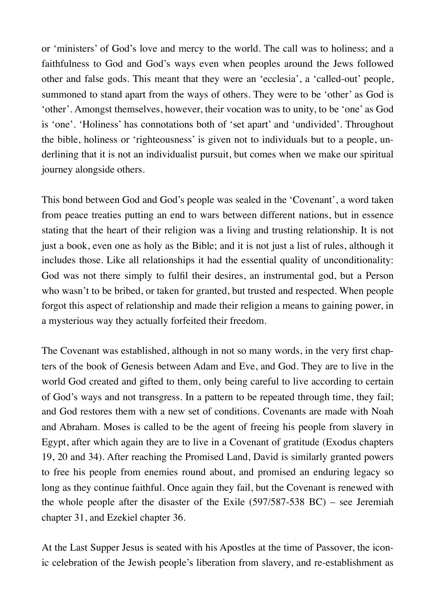or 'ministers' of God's love and mercy to the world. The call was to holiness; and a faithfulness to God and God's ways even when peoples around the Jews followed other and false gods. This meant that they were an 'ecclesia', a 'called-out' people, summoned to stand apart from the ways of others. They were to be 'other' as God is 'other'. Amongst themselves, however, their vocation was to unity, to be 'one' as God is 'one'. 'Holiness' has connotations both of 'set apart' and 'undivided'. Throughout the bible, holiness or 'righteousness' is given not to individuals but to a people, underlining that it is not an individualist pursuit, but comes when we make our spiritual journey alongside others.

This bond between God and God's people was sealed in the 'Covenant', a word taken from peace treaties putting an end to wars between different nations, but in essence stating that the heart of their religion was a living and trusting relationship. It is not just a book, even one as holy as the Bible; and it is not just a list of rules, although it includes those. Like all relationships it had the essential quality of unconditionality: God was not there simply to fulfil their desires, an instrumental god, but a Person who wasn't to be bribed, or taken for granted, but trusted and respected. When people forgot this aspect of relationship and made their religion a means to gaining power, in a mysterious way they actually forfeited their freedom.

The Covenant was established, although in not so many words, in the very first chapters of the book of Genesis between Adam and Eve, and God. They are to live in the world God created and gifted to them, only being careful to live according to certain of God's ways and not transgress. In a pattern to be repeated through time, they fail; and God restores them with a new set of conditions. Covenants are made with Noah and Abraham. Moses is called to be the agent of freeing his people from slavery in Egypt, after which again they are to live in a Covenant of gratitude (Exodus chapters 19, 20 and 34). After reaching the Promised Land, David is similarly granted powers to free his people from enemies round about, and promised an enduring legacy so long as they continue faithful. Once again they fail, but the Covenant is renewed with the whole people after the disaster of the Exile (597/587-538 BC) – see Jeremiah chapter 31, and Ezekiel chapter 36.

At the Last Supper Jesus is seated with his Apostles at the time of Passover, the iconic celebration of the Jewish people's liberation from slavery, and re-establishment as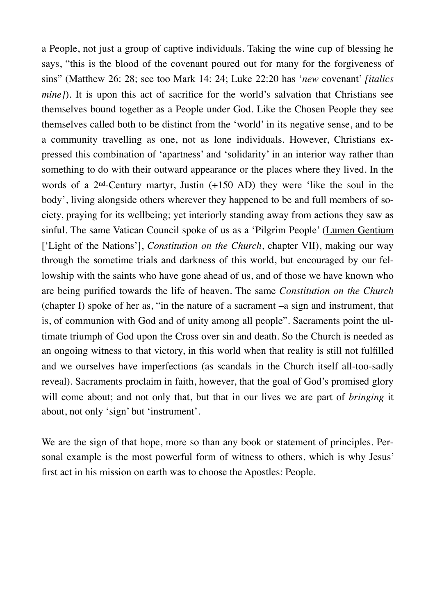a People, not just a group of captive individuals. Taking the wine cup of blessing he says, "this is the blood of the covenant poured out for many for the forgiveness of sins" (Matthew 26: 28; see too Mark 14: 24; Luke 22:20 has '*new* covenant' *[italics mine]*). It is upon this act of sacrifice for the world's salvation that Christians see themselves bound together as a People under God. Like the Chosen People they see themselves called both to be distinct from the 'world' in its negative sense, and to be a community travelling as one, not as lone individuals. However, Christians expressed this combination of 'apartness' and 'solidarity' in an interior way rather than something to do with their outward appearance or the places where they lived. In the words of a 2nd-Century martyr, Justin (+150 AD) they were 'like the soul in the body', living alongside others wherever they happened to be and full members of society, praying for its wellbeing; yet interiorly standing away from actions they saw as sinful. The same Vatican Council spoke of us as a 'Pilgrim People' (Lumen Gentium ['Light of the Nations'], *Constitution on the Church*, chapter VII), making our way through the sometime trials and darkness of this world, but encouraged by our fellowship with the saints who have gone ahead of us, and of those we have known who are being purified towards the life of heaven. The same *Constitution on the Church* (chapter I) spoke of her as, "in the nature of a sacrament –a sign and instrument, that is, of communion with God and of unity among all people". Sacraments point the ultimate triumph of God upon the Cross over sin and death. So the Church is needed as an ongoing witness to that victory, in this world when that reality is still not fulfilled and we ourselves have imperfections (as scandals in the Church itself all-too-sadly reveal). Sacraments proclaim in faith, however, that the goal of God's promised glory will come about; and not only that, but that in our lives we are part of *bringing* it about, not only 'sign' but 'instrument'.

We are the sign of that hope, more so than any book or statement of principles. Personal example is the most powerful form of witness to others, which is why Jesus' first act in his mission on earth was to choose the Apostles: People.